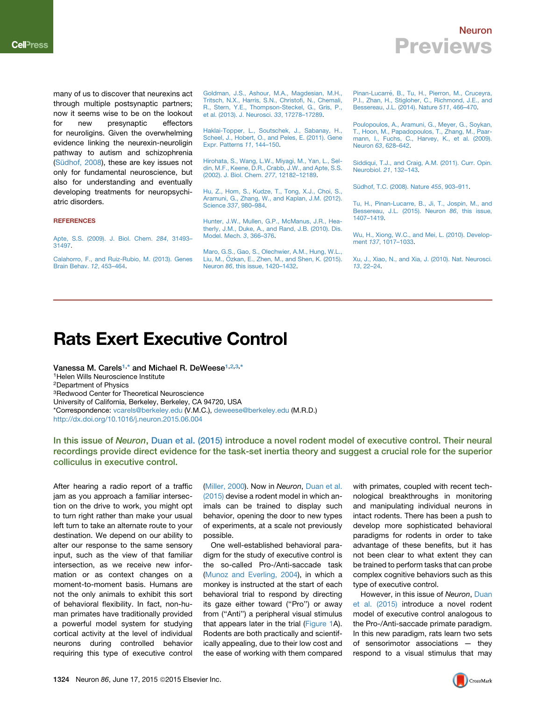### Neuron Previews

many of us to discover that neurexins act through multiple postsynaptic partners; now it seems wise to be on the lookout for new presynaptic effectors for neuroligins. Given the overwhelming evidence linking the neurexin-neuroligin pathway to autism and schizophrenia (Sü[dhof, 2008](#page-0-0)), these are key issues not only for fundamental neuroscience, but also for understanding and eventually developing treatments for neuropsychiatric disorders.

### **REFERENCES**

[Apte, S.S. \(2009\). J. Biol. Chem.](http://refhub.elsevier.com/S0896-6273(15)00517-6/sref1) *284*, 31493– [31497](http://refhub.elsevier.com/S0896-6273(15)00517-6/sref1).

[Calahorro, F., and Ruiz-Rubio, M. \(2013\). Genes](http://refhub.elsevier.com/S0896-6273(15)00517-6/sref2) [Brain Behav.](http://refhub.elsevier.com/S0896-6273(15)00517-6/sref2) *12*, 453–464.

[Goldman, J.S., Ashour, M.A., Magdesian, M.H.,](http://refhub.elsevier.com/S0896-6273(15)00517-6/sref3) [Tritsch, N.X., Harris, S.N., Christofi, N., Chemali,](http://refhub.elsevier.com/S0896-6273(15)00517-6/sref3) [R., Stern, Y.E., Thompson-Steckel, G., Gris, P.,](http://refhub.elsevier.com/S0896-6273(15)00517-6/sref3) [et al. \(2013\). J. Neurosci.](http://refhub.elsevier.com/S0896-6273(15)00517-6/sref3) *33*, 17278–17289.

[Haklai-Topper, L., Soutschek, J., Sabanay, H.,](http://refhub.elsevier.com/S0896-6273(15)00517-6/sref4) [Scheel, J., Hobert, O., and Peles, E. \(2011\). Gene](http://refhub.elsevier.com/S0896-6273(15)00517-6/sref4) [Expr. Patterns](http://refhub.elsevier.com/S0896-6273(15)00517-6/sref4) *11*, 144–150.

[Hirohata, S., Wang, L.W., Miyagi, M., Yan, L., Sel](http://refhub.elsevier.com/S0896-6273(15)00517-6/sref5)[din, M.F., Keene, D.R., Crabb, J.W., and Apte, S.S.](http://refhub.elsevier.com/S0896-6273(15)00517-6/sref5) [\(2002\). J. Biol. Chem.](http://refhub.elsevier.com/S0896-6273(15)00517-6/sref5) *277*, 12182–12189.

[Hu, Z., Hom, S., Kudze, T., Tong, X.J., Choi, S.,](http://refhub.elsevier.com/S0896-6273(15)00517-6/sref6) [Aramuni, G., Zhang, W., and Kaplan, J.M. \(2012\).](http://refhub.elsevier.com/S0896-6273(15)00517-6/sref6) Science *337*[, 980–984](http://refhub.elsevier.com/S0896-6273(15)00517-6/sref6).

[Hunter, J.W., Mullen, G.P., McManus, J.R., Hea](http://refhub.elsevier.com/S0896-6273(15)00517-6/sref7)[therly, J.M., Duke, A., and Rand, J.B. \(2010\). Dis.](http://refhub.elsevier.com/S0896-6273(15)00517-6/sref7) [Model. Mech.](http://refhub.elsevier.com/S0896-6273(15)00517-6/sref7) *3*, 366–376.

[Maro, G.S., Gao, S., Olechwier, A.M., Hung, W.L.,](http://refhub.elsevier.com/S0896-6273(15)00517-6/sref8) Liu, M., Ö[zkan, E., Zhen, M., and Shen, K. \(2015\).](http://refhub.elsevier.com/S0896-6273(15)00517-6/sref8) Neuron *86*[, this issue, 1420–1432.](http://refhub.elsevier.com/S0896-6273(15)00517-6/sref8)

Pinan-Lucarré[, B., Tu, H., Pierron, M., Cruceyra,](http://refhub.elsevier.com/S0896-6273(15)00517-6/sref9) [P.I., Zhan, H., Stigloher, C., Richmond, J.E., and](http://refhub.elsevier.com/S0896-6273(15)00517-6/sref9) [Bessereau, J.L. \(2014\). Nature](http://refhub.elsevier.com/S0896-6273(15)00517-6/sref9) *511*, 466–470.

[Poulopoulos, A., Aramuni, G., Meyer, G., Soykan,](http://refhub.elsevier.com/S0896-6273(15)00517-6/sref10) [T., Hoon, M., Papadopoulos, T., Zhang, M., Paar](http://refhub.elsevier.com/S0896-6273(15)00517-6/sref10)[mann, I., Fuchs, C., Harvey, K., et al. \(2009\).](http://refhub.elsevier.com/S0896-6273(15)00517-6/sref10) Neuron *63*[, 628–642.](http://refhub.elsevier.com/S0896-6273(15)00517-6/sref10)

[Siddiqui, T.J., and Craig, A.M. \(2011\). Curr. Opin.](http://refhub.elsevier.com/S0896-6273(15)00517-6/sref11) [Neurobiol.](http://refhub.elsevier.com/S0896-6273(15)00517-6/sref11) *21*, 132–143.

<span id="page-0-0"></span>Sü[dhof, T.C. \(2008\). Nature](http://refhub.elsevier.com/S0896-6273(15)00517-6/sref12) 455, 903-911.

[Tu, H., Pinan-Lucarre, B., Ji, T., Jospin, M., and](http://refhub.elsevier.com/S0896-6273(15)00517-6/sref13) [Bessereau, J.L. \(2015\). Neuron](http://refhub.elsevier.com/S0896-6273(15)00517-6/sref13) *86*, this issue, [1407–1419.](http://refhub.elsevier.com/S0896-6273(15)00517-6/sref13)

[Wu, H., Xiong, W.C., and Mei, L. \(2010\). Develop](http://refhub.elsevier.com/S0896-6273(15)00517-6/sref14)ment *137*[, 1017–1033](http://refhub.elsevier.com/S0896-6273(15)00517-6/sref14).

[Xu, J., Xiao, N., and Xia, J. \(2010\). Nat. Neurosci.](http://refhub.elsevier.com/S0896-6273(15)00517-6/sref15) *13*[, 22–24](http://refhub.elsevier.com/S0896-6273(15)00517-6/sref15).

# Rats Exert Executive Control

<span id="page-0-3"></span><span id="page-0-2"></span><span id="page-0-1"></span>Vanessa M. Carels<sup>[1](#page-0-1),\*</sup> and Michael R. DeWeese<sup>1[,2,](#page-0-2)[3](#page-0-3),[\\*](#page-0-4)</sup> 1Helen Wills Neuroscience Institute 2Department of Physics 3Redwood Center for Theoretical Neuroscience University of California, Berkeley, Berkeley, CA 94720, USA \*Correspondence: [vcarels@berkeley.edu](mailto:vcarels@berkeley.edu) (V.M.C.), [deweese@berkeley.edu](mailto:deweese@berkeley.edu) (M.R.D.) <http://dx.doi.org/10.1016/j.neuron.2015.06.004>

<span id="page-0-4"></span>In this issue of Neuron, [Duan et al. \(2015\)](#page-2-0) introduce a novel rodent model of executive control. Their neural recordings provide direct evidence for the task-set inertia theory and suggest a crucial role for the superior colliculus in executive control.

After hearing a radio report of a traffic jam as you approach a familiar intersection on the drive to work, you might opt to turn right rather than make your usual left turn to take an alternate route to your destination. We depend on our ability to alter our response to the same sensory input, such as the view of that familiar intersection, as we receive new information or as context changes on a moment-to-moment basis. Humans are not the only animals to exhibit this sort of behavioral flexibility. In fact, non-human primates have traditionally provided a powerful model system for studying cortical activity at the level of individual neurons during controlled behavior requiring this type of executive control

[\(Miller, 2000](#page-2-1)). Now in *Neuron*, [Duan et al.](#page-2-0) [\(2015\)](#page-2-0) devise a rodent model in which animals can be trained to display such behavior, opening the door to new types of experiments, at a scale not previously possible.

One well-established behavioral paradigm for the study of executive control is the so-called Pro-/Anti-saccade task [\(Munoz and Everling, 2004\)](#page-2-2), in which a monkey is instructed at the start of each behavioral trial to respond by directing its gaze either toward ("Pro") or away from (''Anti'') a peripheral visual stimulus that appears later in the trial [\(Figure 1A](#page-1-0)). Rodents are both practically and scientifically appealing, due to their low cost and the ease of working with them compared

with primates, coupled with recent technological breakthroughs in monitoring and manipulating individual neurons in intact rodents. There has been a push to develop more sophisticated behavioral paradigms for rodents in order to take advantage of these benefits, but it has not been clear to what extent they can be trained to perform tasks that can probe complex cognitive behaviors such as this type of executive control.

However, in this issue of *Neuron*, [Duan](#page-2-0) [et al. \(2015\)](#page-2-0) introduce a novel rodent model of executive control analogous to the Pro-/Anti-saccade primate paradigm. In this new paradigm, rats learn two sets of sensorimotor associations — they respond to a visual stimulus that may

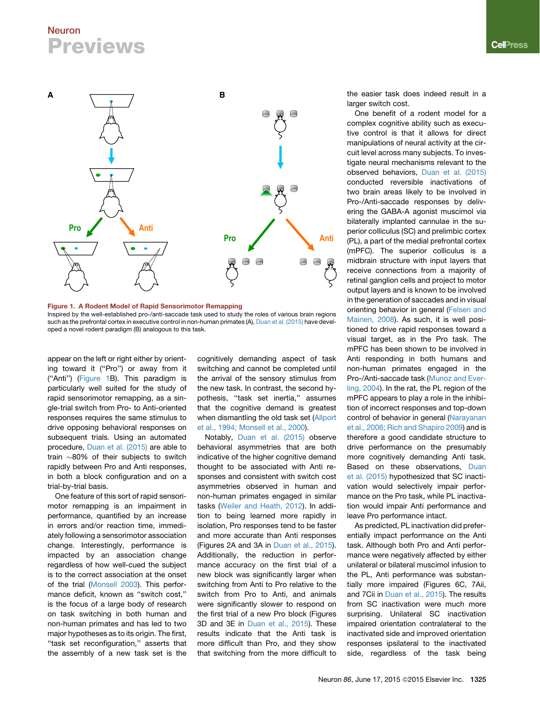## Neuron **Previews**

<span id="page-1-0"></span>

Figure 1. A Rodent Model of Rapid Sensorimotor Remapping Inspired by the well-established pro-/anti-saccade task used to study the roles of various brain regions such as the prefrontal cortex in executive control in non-human primates (A), [Duan et al. \(2015\)](#page-2-0) have developed a novel rodent paradigm (B) analogous to this task.

appear on the left or right either by orienting toward it ("Pro") or away from it (''Anti'') ([Figure 1B](#page-1-0)). This paradigm is particularly well suited for the study of rapid sensorimotor remapping, as a single-trial switch from Pro- to Anti-oriented responses requires the same stimulus to drive opposing behavioral responses on subsequent trials. Using an automated procedure, [Duan et al. \(2015\)](#page-2-0) are able to train  $\sim$ 80% of their subjects to switch rapidly between Pro and Anti responses, in both a block configuration and on a trial-by-trial basis.

One feature of this sort of rapid sensorimotor remapping is an impairment in performance, quantified by an increase in errors and/or reaction time, immediately following a sensorimotor association change. Interestingly, performance is impacted by an association change regardless of how well-cued the subject is to the correct association at the onset of the trial [\(Monsell 2003\)](#page-2-3). This performance deficit, known as "switch cost," is the focus of a large body of research on task switching in both human and non-human primates and has led to two major hypotheses as to its origin. The first, ''task set reconfiguration,'' asserts that the assembly of a new task set is the

cognitively demanding aspect of task switching and cannot be completed until the arrival of the sensory stimulus from the new task. In contrast, the second hypothesis, "task set inertia," assumes that the cognitive demand is greatest when dismantling the old task set [\(Allport](#page-2-4) [et al., 1994; Monsell et al., 2000\)](#page-2-4).

Notably, [Duan et al. \(2015\)](#page-2-0) observe behavioral asymmetries that are both indicative of the higher cognitive demand thought to be associated with Anti responses and consistent with switch cost asymmetries observed in human and non-human primates engaged in similar tasks [\(Weiler and Heath, 2012\)](#page-2-5). In addition to being learned more rapidly in isolation, Pro responses tend to be faster and more accurate than Anti responses (Figures 2A and 3A in [Duan et al., 2015](#page-2-0)). Additionally, the reduction in performance accuracy on the first trial of a new block was significantly larger when switching from Anti to Pro relative to the switch from Pro to Anti, and animals were significantly slower to respond on the first trial of a new Pro block (Figures 3D and 3E in [Duan et al., 2015\)](#page-2-0). These results indicate that the Anti task is more difficult than Pro, and they show that switching from the more difficult to

the easier task does indeed result in a larger switch cost.

One benefit of a rodent model for a complex cognitive ability such as executive control is that it allows for direct manipulations of neural activity at the circuit level across many subjects. To investigate neural mechanisms relevant to the observed behaviors, [Duan et al. \(2015\)](#page-2-0) conducted reversible inactivations of two brain areas likely to be involved in Pro-/Anti-saccade responses by delivering the GABA-A agonist muscimol via bilaterally implanted cannulae in the superior colliculus (SC) and prelimbic cortex (PL), a part of the medial prefrontal cortex (mPFC). The superior colliculus is a midbrain structure with input layers that receive connections from a majority of retinal ganglion cells and project to motor output layers and is known to be involved in the generation of saccades and in visual orienting behavior in general [\(Felsen and](#page-2-6) [Mainen, 2008\)](#page-2-6). As such, it is well positioned to drive rapid responses toward a visual target, as in the Pro task. The mPFC has been shown to be involved in Anti responding in both humans and non-human primates engaged in the Pro-/Anti-saccade task [\(Munoz and Ever](#page-2-2)[ling, 2004](#page-2-2)). In the rat, the PL region of the mPFC appears to play a role in the inhibition of incorrect responses and top-down control of behavior in general [\(Narayanan](#page-2-7) [et al., 2006; Rich and Shapiro 2009](#page-2-7)) and is therefore a good candidate structure to drive performance on the presumably more cognitively demanding Anti task. Based on these observations, [Duan](#page-2-0) [et al. \(2015\)](#page-2-0) hypothesized that SC inactivation would selectively impair performance on the Pro task, while PL inactivation would impair Anti performance and leave Pro performance intact.

As predicted, PL inactivation did preferentially impact performance on the Anti task. Although both Pro and Anti performance were negatively affected by either unilateral or bilateral muscimol infusion to the PL, Anti performance was substantially more impaired (Figures 6C, 7Aii, and 7Cii in [Duan et al., 2015\)](#page-2-0). The results from SC inactivation were much more surprising. Unilateral SC inactivation impaired orientation contralateral to the inactivated side and improved orientation responses ipsilateral to the inactivated side, regardless of the task being